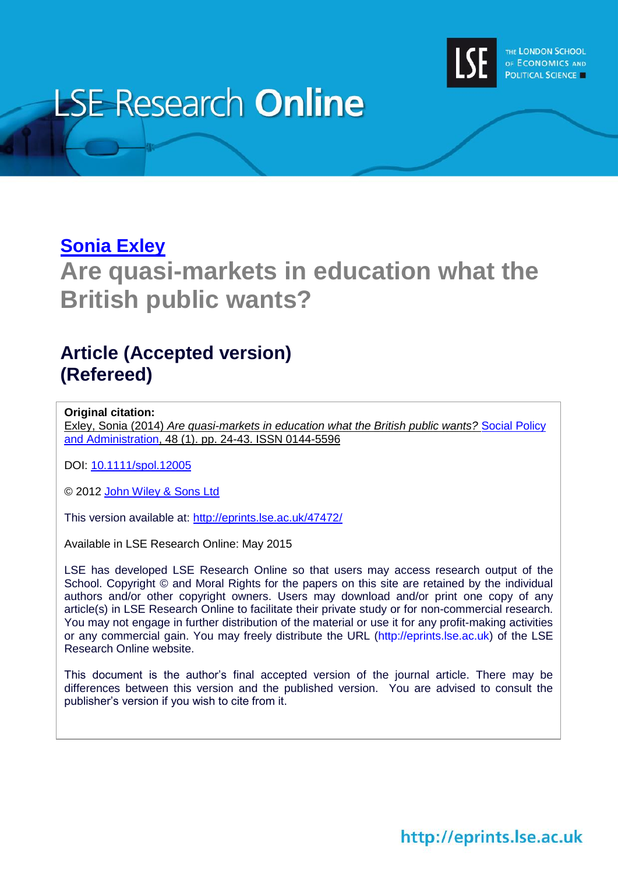

# **LSE Research Online**

# **[Sonia Exley](http://www.lse.ac.uk/researchAndExpertise/Experts/profile.aspx?KeyValue=s.exley%40lse.ac.uk)**

# **Are quasi-markets in education what the British public wants?**

## **Article (Accepted version) (Refereed)**

#### **Original citation:**

Exley, Sonia (2014) *Are quasi-markets in education what the British public wants?* [Social Policy](http://onlinelibrary.wiley.com/journal/10.1111/(ISSN)1467-9515)  [and Administration,](http://onlinelibrary.wiley.com/journal/10.1111/(ISSN)1467-9515) 48 (1). pp. 24-43. ISSN 0144-5596

DOI: [10.1111/spol.12005](http://dx.doi.org/10.1111/spol.12005)

© 2012 [John Wiley & Sons Ltd](http://onlinelibrary.wiley.com/)

This version available at:<http://eprints.lse.ac.uk/47472/>

Available in LSE Research Online: May 2015

LSE has developed LSE Research Online so that users may access research output of the School. Copyright © and Moral Rights for the papers on this site are retained by the individual authors and/or other copyright owners. Users may download and/or print one copy of any article(s) in LSE Research Online to facilitate their private study or for non-commercial research. You may not engage in further distribution of the material or use it for any profit-making activities or any commercial gain. You may freely distribute the URL (http://eprints.lse.ac.uk) of the LSE Research Online website.

This document is the author's final accepted version of the journal article. There may be differences between this version and the published version. You are advised to consult the publisher's version if you wish to cite from it.

http://eprints.lse.ac.uk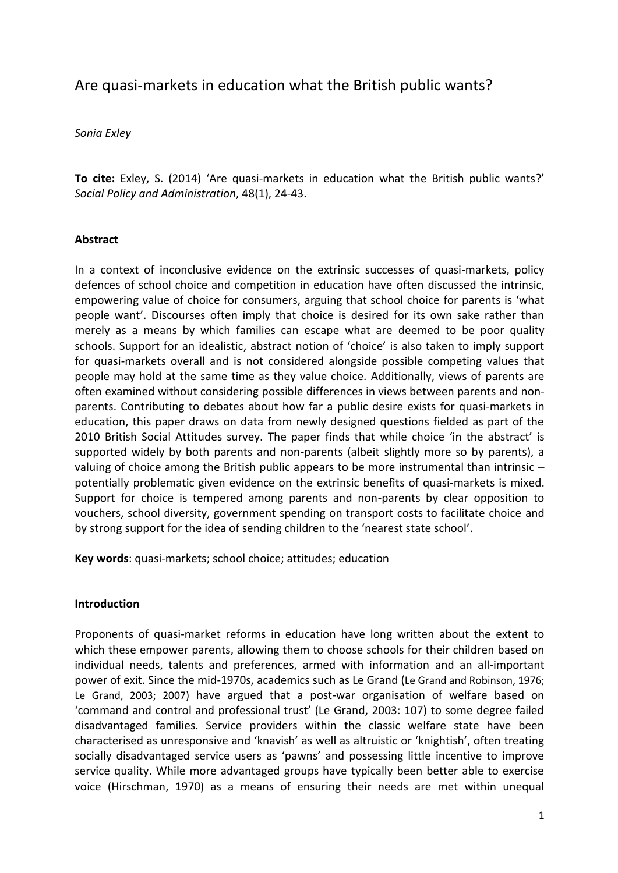### Are quasi-markets in education what the British public wants?

#### *Sonia Exley*

**To cite:** Exley, S. (2014) 'Are quasi-markets in education what the British public wants?' *Social Policy and Administration*, 48(1), 24-43.

#### **Abstract**

In a context of inconclusive evidence on the extrinsic successes of quasi-markets, policy defences of school choice and competition in education have often discussed the intrinsic, empowering value of choice for consumers, arguing that school choice for parents is 'what people want'. Discourses often imply that choice is desired for its own sake rather than merely as a means by which families can escape what are deemed to be poor quality schools. Support for an idealistic, abstract notion of 'choice' is also taken to imply support for quasi-markets overall and is not considered alongside possible competing values that people may hold at the same time as they value choice. Additionally, views of parents are often examined without considering possible differences in views between parents and nonparents. Contributing to debates about how far a public desire exists for quasi-markets in education, this paper draws on data from newly designed questions fielded as part of the 2010 British Social Attitudes survey. The paper finds that while choice 'in the abstract' is supported widely by both parents and non-parents (albeit slightly more so by parents), a valuing of choice among the British public appears to be more instrumental than intrinsic – potentially problematic given evidence on the extrinsic benefits of quasi-markets is mixed. Support for choice is tempered among parents and non-parents by clear opposition to vouchers, school diversity, government spending on transport costs to facilitate choice and by strong support for the idea of sending children to the 'nearest state school'.

**Key words**: quasi-markets; school choice; attitudes; education

#### **Introduction**

Proponents of quasi-market reforms in education have long written about the extent to which these empower parents, allowing them to choose schools for their children based on individual needs, talents and preferences, armed with information and an all-important power of exit. Since the mid-1970s, academics such as Le Grand (Le Grand and Robinson, 1976; Le Grand, 2003; 2007) have argued that a post-war organisation of welfare based on 'command and control and professional trust' (Le Grand, 2003: 107) to some degree failed disadvantaged families. Service providers within the classic welfare state have been characterised as unresponsive and 'knavish' as well as altruistic or 'knightish', often treating socially disadvantaged service users as 'pawns' and possessing little incentive to improve service quality. While more advantaged groups have typically been better able to exercise voice (Hirschman, 1970) as a means of ensuring their needs are met within unequal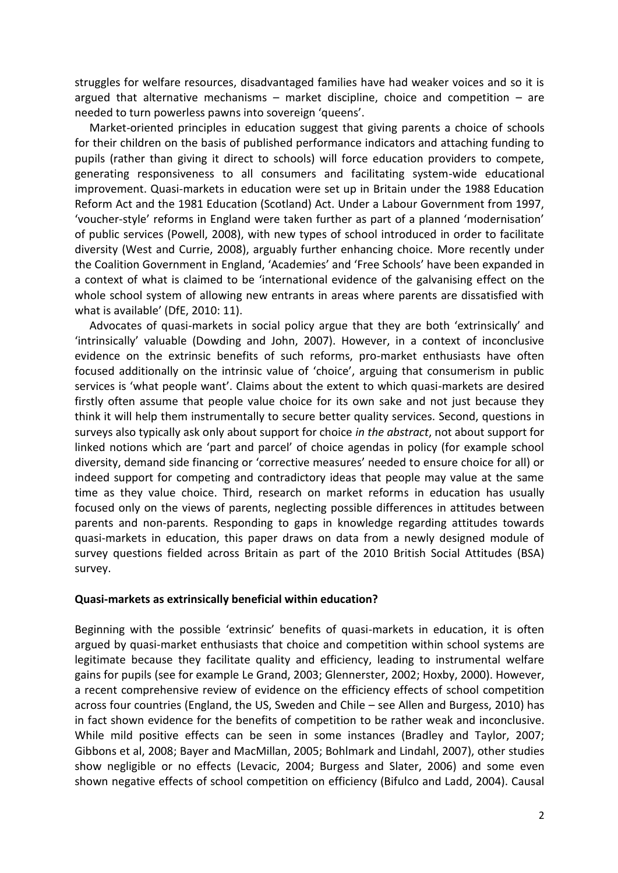struggles for welfare resources, disadvantaged families have had weaker voices and so it is argued that alternative mechanisms – market discipline, choice and competition – are needed to turn powerless pawns into sovereign 'queens'.

Market-oriented principles in education suggest that giving parents a choice of schools for their children on the basis of published performance indicators and attaching funding to pupils (rather than giving it direct to schools) will force education providers to compete, generating responsiveness to all consumers and facilitating system-wide educational improvement. Quasi-markets in education were set up in Britain under the 1988 Education Reform Act and the 1981 Education (Scotland) Act. Under a Labour Government from 1997, 'voucher-style' reforms in England were taken further as part of a planned 'modernisation' of public services (Powell, 2008), with new types of school introduced in order to facilitate diversity (West and Currie, 2008), arguably further enhancing choice. More recently under the Coalition Government in England, 'Academies' and 'Free Schools' have been expanded in a context of what is claimed to be 'international evidence of the galvanising effect on the whole school system of allowing new entrants in areas where parents are dissatisfied with what is available' (DfE, 2010: 11).

Advocates of quasi-markets in social policy argue that they are both 'extrinsically' and 'intrinsically' valuable (Dowding and John, 2007). However, in a context of inconclusive evidence on the extrinsic benefits of such reforms, pro-market enthusiasts have often focused additionally on the intrinsic value of 'choice', arguing that consumerism in public services is 'what people want'. Claims about the extent to which quasi-markets are desired firstly often assume that people value choice for its own sake and not just because they think it will help them instrumentally to secure better quality services. Second, questions in surveys also typically ask only about support for choice *in the abstract*, not about support for linked notions which are 'part and parcel' of choice agendas in policy (for example school diversity, demand side financing or 'corrective measures' needed to ensure choice for all) or indeed support for competing and contradictory ideas that people may value at the same time as they value choice. Third, research on market reforms in education has usually focused only on the views of parents, neglecting possible differences in attitudes between parents and non-parents. Responding to gaps in knowledge regarding attitudes towards quasi-markets in education, this paper draws on data from a newly designed module of survey questions fielded across Britain as part of the 2010 British Social Attitudes (BSA) survey.

#### **Quasi-markets as extrinsically beneficial within education?**

Beginning with the possible 'extrinsic' benefits of quasi-markets in education, it is often argued by quasi-market enthusiasts that choice and competition within school systems are legitimate because they facilitate quality and efficiency, leading to instrumental welfare gains for pupils (see for example Le Grand, 2003; Glennerster, 2002; Hoxby, 2000). However, a recent comprehensive review of evidence on the efficiency effects of school competition across four countries (England, the US, Sweden and Chile – see Allen and Burgess, 2010) has in fact shown evidence for the benefits of competition to be rather weak and inconclusive. While mild positive effects can be seen in some instances (Bradley and Taylor, 2007; Gibbons et al, 2008; Bayer and MacMillan, 2005; Bohlmark and Lindahl, 2007), other studies show negligible or no effects (Levacic, 2004; Burgess and Slater, 2006) and some even shown negative effects of school competition on efficiency (Bifulco and Ladd, 2004). Causal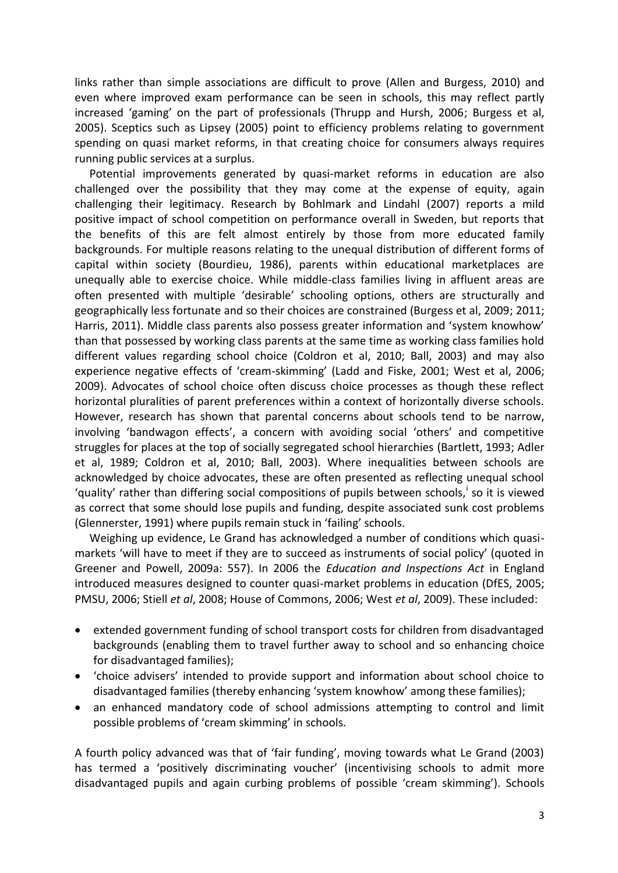links rather than simple associations are difficult to prove (Allen and Burgess, 2010) and even where improved exam performance can be seen in schools, this may reflect partly increased 'gaming' on the part of professionals (Thrupp and Hursh, 2006; Burgess et al, 2005). Sceptics such as Lipsey (2005) point to efficiency problems relating to government spending on quasi market reforms, in that creating choice for consumers always requires running public services at a surplus.

Potential improvements generated by quasi-market reforms in education are also challenged over the possibility that they may come at the expense of equity, again challenging their legitimacy. Research by Bohlmark and Lindahl (2007) reports a mild positive impact of school competition on performance overall in Sweden, but reports that the benefits of this are felt almost entirely by those from more educated family backgrounds. For multiple reasons relating to the unequal distribution of different forms of capital within society (Bourdieu, 1986), parents within educational marketplaces are unequally able to exercise choice. While middle-class families living in affluent areas are often presented with multiple 'desirable' schooling options, others are structurally and geographically less fortunate and so their choices are constrained (Burgess et al, 2009; 2011; Harris, 2011). Middle class parents also possess greater information and 'system knowhow' than that possessed by working class parents at the same time as working class families hold different values regarding school choice (Coldron et al, 2010; Ball, 2003) and may also experience negative effects of 'cream-skimming' (Ladd and Fiske, 2001; West et al, 2006; 2009). Advocates of school choice often discuss choice processes as though these reflect horizontal pluralities of parent preferences within a context of horizontally diverse schools. However, research has shown that parental concerns about schools tend to be narrow, involving 'bandwagon effects', a concern with avoiding social 'others' and competitive struggles for places at the top of socially segregated school hierarchies (Bartlett, 1993; Adler et al, 1989; Coldron et al, 2010; Ball, 2003). Where inequalities between schools are acknowledged by choice advocates, these are often presented as reflecting unequal school 'quality' rather than differing social compositions of pupils between schools, so it is viewed as correct that some should lose pupils and funding, despite associated sunk cost problems (Glennerster, 1991) where pupils remain stuck in 'failing' schools.

Weighing up evidence, Le Grand has acknowledged a number of conditions which quasimarkets 'will have to meet if they are to succeed as instruments of social policy' (quoted in Greener and Powell, 2009a: 557). In 2006 the *Education and Inspections Act* in England introduced measures designed to counter quasi-market problems in education (DfES, 2005; PMSU, 2006; Stiell *et al*, 2008; House of Commons, 2006; West *et al*, 2009). These included:

- extended government funding of school transport costs for children from disadvantaged backgrounds (enabling them to travel further away to school and so enhancing choice for disadvantaged families);
- 'choice advisers' intended to provide support and information about school choice to disadvantaged families (thereby enhancing 'system knowhow' among these families);
- an enhanced mandatory code of school admissions attempting to control and limit possible problems of 'cream skimming' in schools.

A fourth policy advanced was that of 'fair funding', moving towards what Le Grand (2003) has termed a 'positively discriminating voucher' (incentivising schools to admit more disadvantaged pupils and again curbing problems of possible 'cream skimming'). Schools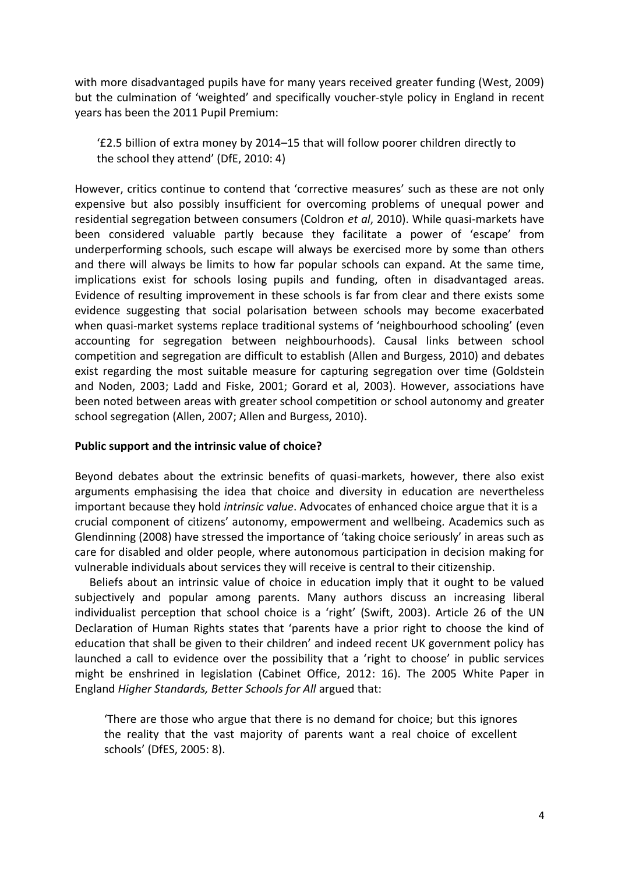with more disadvantaged pupils have for many years received greater funding (West, 2009) but the culmination of 'weighted' and specifically voucher-style policy in England in recent years has been the 2011 Pupil Premium:

'£2.5 billion of extra money by 2014–15 that will follow poorer children directly to the school they attend' (DfE, 2010: 4)

However, critics continue to contend that 'corrective measures' such as these are not only expensive but also possibly insufficient for overcoming problems of unequal power and residential segregation between consumers (Coldron *et al*, 2010). While quasi-markets have been considered valuable partly because they facilitate a power of 'escape' from underperforming schools, such escape will always be exercised more by some than others and there will always be limits to how far popular schools can expand. At the same time, implications exist for schools losing pupils and funding, often in disadvantaged areas. Evidence of resulting improvement in these schools is far from clear and there exists some evidence suggesting that social polarisation between schools may become exacerbated when quasi-market systems replace traditional systems of 'neighbourhood schooling' (even accounting for segregation between neighbourhoods). Causal links between school competition and segregation are difficult to establish (Allen and Burgess, 2010) and debates exist regarding the most suitable measure for capturing segregation over time (Goldstein and Noden, 2003; Ladd and Fiske, 2001; Gorard et al, 2003). However, associations have been noted between areas with greater school competition or school autonomy and greater school segregation (Allen, 2007; Allen and Burgess, 2010).

#### **Public support and the intrinsic value of choice?**

Beyond debates about the extrinsic benefits of quasi-markets, however, there also exist arguments emphasising the idea that choice and diversity in education are nevertheless important because they hold *intrinsic value*. Advocates of enhanced choice argue that it is a crucial component of citizens' autonomy, empowerment and wellbeing. Academics such as Glendinning (2008) have stressed the importance of 'taking choice seriously' in areas such as care for disabled and older people, where autonomous participation in decision making for vulnerable individuals about services they will receive is central to their citizenship.

Beliefs about an intrinsic value of choice in education imply that it ought to be valued subjectively and popular among parents. Many authors discuss an increasing liberal individualist perception that school choice is a 'right' (Swift, 2003). Article 26 of the UN Declaration of Human Rights states that 'parents have a prior right to choose the kind of education that shall be given to their children' and indeed recent UK government policy has launched a call to evidence over the possibility that a 'right to choose' in public services might be enshrined in legislation (Cabinet Office, 2012: 16). The 2005 White Paper in England *Higher Standards, Better Schools for All* argued that:

'There are those who argue that there is no demand for choice; but this ignores the reality that the vast majority of parents want a real choice of excellent schools' (DfES, 2005: 8).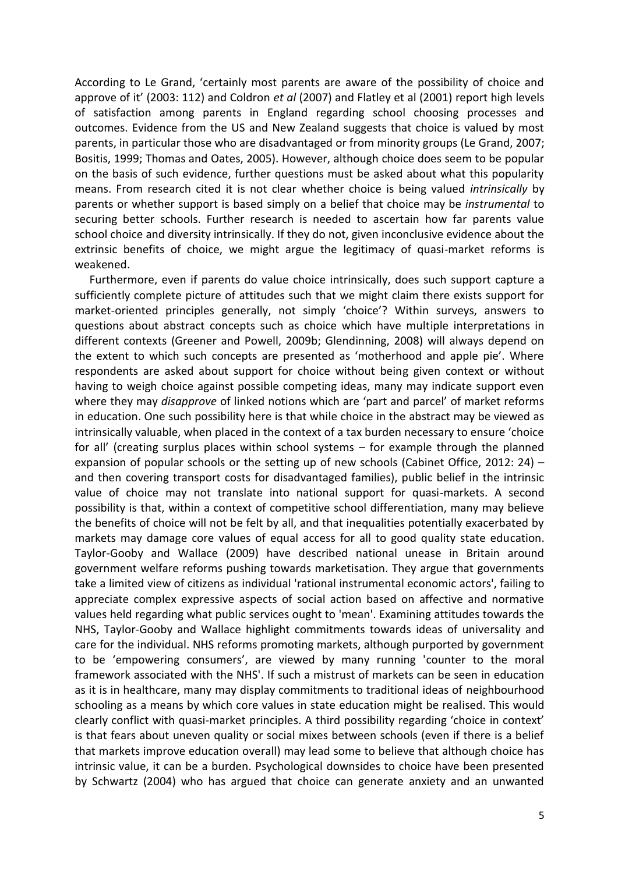According to Le Grand, 'certainly most parents are aware of the possibility of choice and approve of it' (2003: 112) and Coldron *et al* (2007) and Flatley et al (2001) report high levels of satisfaction among parents in England regarding school choosing processes and outcomes. Evidence from the US and New Zealand suggests that choice is valued by most parents, in particular those who are disadvantaged or from minority groups (Le Grand, 2007; Bositis, 1999; Thomas and Oates, 2005). However, although choice does seem to be popular on the basis of such evidence, further questions must be asked about what this popularity means. From research cited it is not clear whether choice is being valued *intrinsically* by parents or whether support is based simply on a belief that choice may be *instrumental* to securing better schools. Further research is needed to ascertain how far parents value school choice and diversity intrinsically. If they do not, given inconclusive evidence about the extrinsic benefits of choice, we might argue the legitimacy of quasi-market reforms is weakened.

Furthermore, even if parents do value choice intrinsically, does such support capture a sufficiently complete picture of attitudes such that we might claim there exists support for market-oriented principles generally, not simply 'choice'? Within surveys, answers to questions about abstract concepts such as choice which have multiple interpretations in different contexts (Greener and Powell, 2009b; Glendinning, 2008) will always depend on the extent to which such concepts are presented as 'motherhood and apple pie'. Where respondents are asked about support for choice without being given context or without having to weigh choice against possible competing ideas, many may indicate support even where they may *disapprove* of linked notions which are 'part and parcel' of market reforms in education. One such possibility here is that while choice in the abstract may be viewed as intrinsically valuable, when placed in the context of a tax burden necessary to ensure 'choice for all' (creating surplus places within school systems – for example through the planned expansion of popular schools or the setting up of new schools (Cabinet Office, 2012: 24) – and then covering transport costs for disadvantaged families), public belief in the intrinsic value of choice may not translate into national support for quasi-markets. A second possibility is that, within a context of competitive school differentiation, many may believe the benefits of choice will not be felt by all, and that inequalities potentially exacerbated by markets may damage core values of equal access for all to good quality state education. Taylor-Gooby and Wallace (2009) have described national unease in Britain around government welfare reforms pushing towards marketisation. They argue that governments take a limited view of citizens as individual 'rational instrumental economic actors', failing to appreciate complex expressive aspects of social action based on affective and normative values held regarding what public services ought to 'mean'. Examining attitudes towards the NHS, Taylor-Gooby and Wallace highlight commitments towards ideas of universality and care for the individual. NHS reforms promoting markets, although purported by government to be 'empowering consumers', are viewed by many running 'counter to the moral framework associated with the NHS'. If such a mistrust of markets can be seen in education as it is in healthcare, many may display commitments to traditional ideas of neighbourhood schooling as a means by which core values in state education might be realised. This would clearly conflict with quasi-market principles. A third possibility regarding 'choice in context' is that fears about uneven quality or social mixes between schools (even if there is a belief that markets improve education overall) may lead some to believe that although choice has intrinsic value, it can be a burden. Psychological downsides to choice have been presented by Schwartz (2004) who has argued that choice can generate anxiety and an unwanted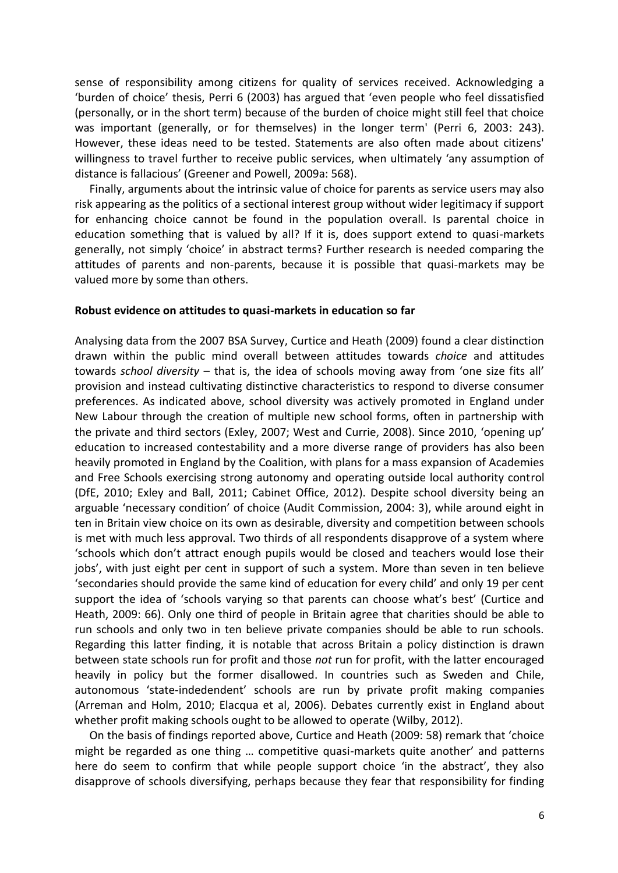sense of responsibility among citizens for quality of services received. Acknowledging a 'burden of choice' thesis, Perri 6 (2003) has argued that 'even people who feel dissatisfied (personally, or in the short term) because of the burden of choice might still feel that choice was important (generally, or for themselves) in the longer term' (Perri 6, 2003: 243). However, these ideas need to be tested. Statements are also often made about citizens' willingness to travel further to receive public services, when ultimately 'any assumption of distance is fallacious' (Greener and Powell, 2009a: 568).

Finally, arguments about the intrinsic value of choice for parents as service users may also risk appearing as the politics of a sectional interest group without wider legitimacy if support for enhancing choice cannot be found in the population overall. Is parental choice in education something that is valued by all? If it is, does support extend to quasi-markets generally, not simply 'choice' in abstract terms? Further research is needed comparing the attitudes of parents and non-parents, because it is possible that quasi-markets may be valued more by some than others.

#### **Robust evidence on attitudes to quasi-markets in education so far**

Analysing data from the 2007 BSA Survey, Curtice and Heath (2009) found a clear distinction drawn within the public mind overall between attitudes towards *choice* and attitudes towards *school diversity* – that is, the idea of schools moving away from 'one size fits all' provision and instead cultivating distinctive characteristics to respond to diverse consumer preferences. As indicated above, school diversity was actively promoted in England under New Labour through the creation of multiple new school forms, often in partnership with the private and third sectors (Exley, 2007; West and Currie, 2008). Since 2010, 'opening up' education to increased contestability and a more diverse range of providers has also been heavily promoted in England by the Coalition, with plans for a mass expansion of Academies and Free Schools exercising strong autonomy and operating outside local authority control (DfE, 2010; Exley and Ball, 2011; Cabinet Office, 2012). Despite school diversity being an arguable 'necessary condition' of choice (Audit Commission, 2004: 3), while around eight in ten in Britain view choice on its own as desirable, diversity and competition between schools is met with much less approval. Two thirds of all respondents disapprove of a system where 'schools which don't attract enough pupils would be closed and teachers would lose their jobs', with just eight per cent in support of such a system. More than seven in ten believe 'secondaries should provide the same kind of education for every child' and only 19 per cent support the idea of 'schools varying so that parents can choose what's best' (Curtice and Heath, 2009: 66). Only one third of people in Britain agree that charities should be able to run schools and only two in ten believe private companies should be able to run schools. Regarding this latter finding, it is notable that across Britain a policy distinction is drawn between state schools run for profit and those *not* run for profit, with the latter encouraged heavily in policy but the former disallowed. In countries such as Sweden and Chile, autonomous 'state-indedendent' schools are run by private profit making companies (Arreman and Holm, 2010; Elacqua et al, 2006). Debates currently exist in England about whether profit making schools ought to be allowed to operate (Wilby, 2012).

On the basis of findings reported above, Curtice and Heath (2009: 58) remark that 'choice might be regarded as one thing … competitive quasi-markets quite another' and patterns here do seem to confirm that while people support choice 'in the abstract', they also disapprove of schools diversifying, perhaps because they fear that responsibility for finding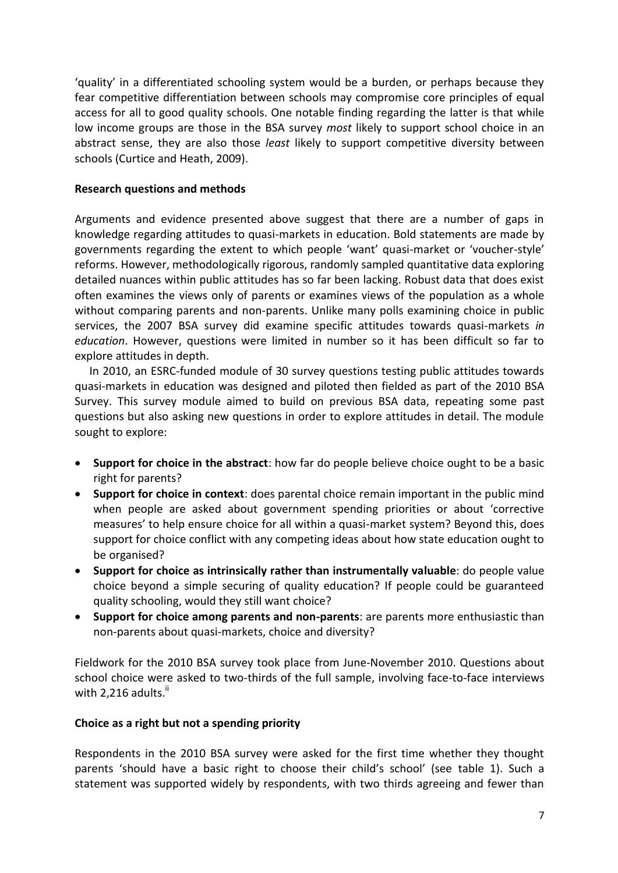'quality' in a differentiated schooling system would be a burden, or perhaps because they fear competitive differentiation between schools may compromise core principles of equal access for all to good quality schools. One notable finding regarding the latter is that while low income groups are those in the BSA survey *most* likely to support school choice in an abstract sense, they are also those *least* likely to support competitive diversity between schools (Curtice and Heath, 2009).

#### **Research questions and methods**

Arguments and evidence presented above suggest that there are a number of gaps in knowledge regarding attitudes to quasi-markets in education. Bold statements are made by governments regarding the extent to which people 'want' quasi-market or 'voucher-style' reforms. However, methodologically rigorous, randomly sampled quantitative data exploring detailed nuances within public attitudes has so far been lacking. Robust data that does exist often examines the views only of parents or examines views of the population as a whole without comparing parents and non-parents. Unlike many polls examining choice in public services, the 2007 BSA survey did examine specific attitudes towards quasi-markets *in education*. However, questions were limited in number so it has been difficult so far to explore attitudes in depth.

In 2010, an ESRC-funded module of 30 survey questions testing public attitudes towards quasi-markets in education was designed and piloted then fielded as part of the 2010 BSA Survey. This survey module aimed to build on previous BSA data, repeating some past questions but also asking new questions in order to explore attitudes in detail. The module sought to explore:

- **Support for choice in the abstract**: how far do people believe choice ought to be a basic right for parents?
- **Support for choice in context**: does parental choice remain important in the public mind when people are asked about government spending priorities or about 'corrective measures' to help ensure choice for all within a quasi-market system? Beyond this, does support for choice conflict with any competing ideas about how state education ought to be organised?
- **Support for choice as intrinsically rather than instrumentally valuable**: do people value choice beyond a simple securing of quality education? If people could be guaranteed quality schooling, would they still want choice?
- **Support for choice among parents and non-parents**: are parents more enthusiastic than non-parents about quasi-markets, choice and diversity?

Fieldwork for the 2010 BSA survey took place from June-November 2010. Questions about school choice were asked to two-thirds of the full sample, involving face-to-face interviews with 2,216 adults.<sup>ii</sup>

#### **Choice as a right but not a spending priority**

Respondents in the 2010 BSA survey were asked for the first time whether they thought parents 'should have a basic right to choose their child's school' (see table 1). Such a statement was supported widely by respondents, with two thirds agreeing and fewer than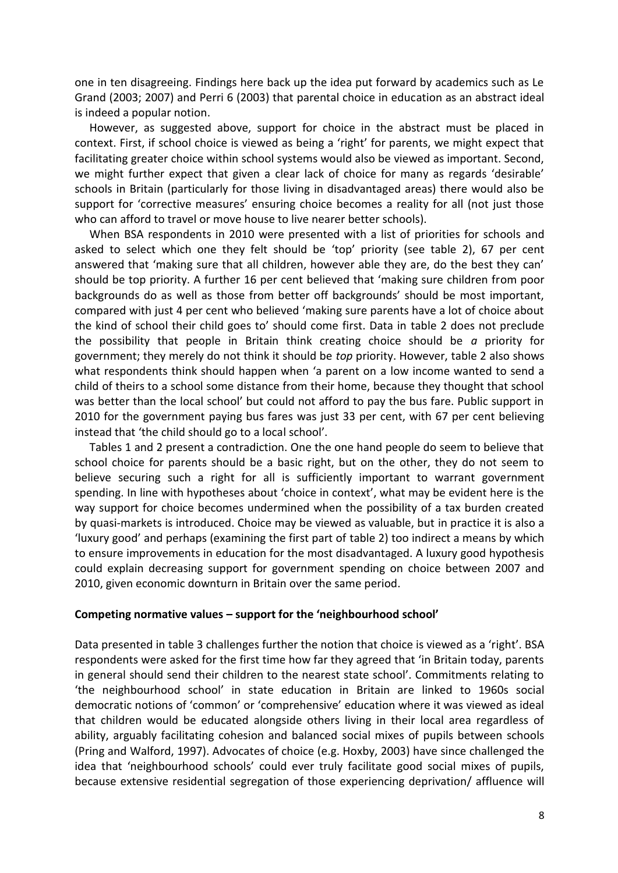one in ten disagreeing. Findings here back up the idea put forward by academics such as Le Grand (2003; 2007) and Perri 6 (2003) that parental choice in education as an abstract ideal is indeed a popular notion.

However, as suggested above, support for choice in the abstract must be placed in context. First, if school choice is viewed as being a 'right' for parents, we might expect that facilitating greater choice within school systems would also be viewed as important. Second, we might further expect that given a clear lack of choice for many as regards 'desirable' schools in Britain (particularly for those living in disadvantaged areas) there would also be support for 'corrective measures' ensuring choice becomes a reality for all (not just those who can afford to travel or move house to live nearer better schools).

When BSA respondents in 2010 were presented with a list of priorities for schools and asked to select which one they felt should be 'top' priority (see table 2), 67 per cent answered that 'making sure that all children, however able they are, do the best they can' should be top priority. A further 16 per cent believed that 'making sure children from poor backgrounds do as well as those from better off backgrounds' should be most important, compared with just 4 per cent who believed 'making sure parents have a lot of choice about the kind of school their child goes to' should come first. Data in table 2 does not preclude the possibility that people in Britain think creating choice should be *a* priority for government; they merely do not think it should be *top* priority. However, table 2 also shows what respondents think should happen when 'a parent on a low income wanted to send a child of theirs to a school some distance from their home, because they thought that school was better than the local school' but could not afford to pay the bus fare. Public support in 2010 for the government paying bus fares was just 33 per cent, with 67 per cent believing instead that 'the child should go to a local school'.

Tables 1 and 2 present a contradiction. One the one hand people do seem to believe that school choice for parents should be a basic right, but on the other, they do not seem to believe securing such a right for all is sufficiently important to warrant government spending. In line with hypotheses about 'choice in context', what may be evident here is the way support for choice becomes undermined when the possibility of a tax burden created by quasi-markets is introduced. Choice may be viewed as valuable, but in practice it is also a 'luxury good' and perhaps (examining the first part of table 2) too indirect a means by which to ensure improvements in education for the most disadvantaged. A luxury good hypothesis could explain decreasing support for government spending on choice between 2007 and 2010, given economic downturn in Britain over the same period.

#### **Competing normative values – support for the 'neighbourhood school'**

Data presented in table 3 challenges further the notion that choice is viewed as a 'right'. BSA respondents were asked for the first time how far they agreed that 'in Britain today, parents in general should send their children to the nearest state school'. Commitments relating to 'the neighbourhood school' in state education in Britain are linked to 1960s social democratic notions of 'common' or 'comprehensive' education where it was viewed as ideal that children would be educated alongside others living in their local area regardless of ability, arguably facilitating cohesion and balanced social mixes of pupils between schools (Pring and Walford, 1997). Advocates of choice (e.g. Hoxby, 2003) have since challenged the idea that 'neighbourhood schools' could ever truly facilitate good social mixes of pupils, because extensive residential segregation of those experiencing deprivation/ affluence will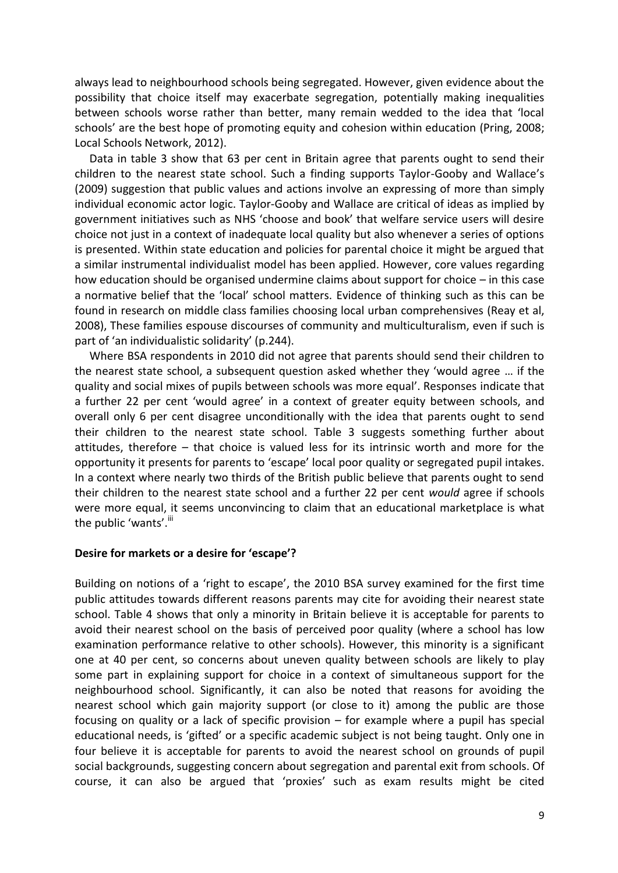always lead to neighbourhood schools being segregated. However, given evidence about the possibility that choice itself may exacerbate segregation, potentially making inequalities between schools worse rather than better, many remain wedded to the idea that 'local schools' are the best hope of promoting equity and cohesion within education (Pring, 2008; Local Schools Network, 2012).

Data in table 3 show that 63 per cent in Britain agree that parents ought to send their children to the nearest state school. Such a finding supports Taylor-Gooby and Wallace's (2009) suggestion that public values and actions involve an expressing of more than simply individual economic actor logic. Taylor-Gooby and Wallace are critical of ideas as implied by government initiatives such as NHS 'choose and book' that welfare service users will desire choice not just in a context of inadequate local quality but also whenever a series of options is presented. Within state education and policies for parental choice it might be argued that a similar instrumental individualist model has been applied. However, core values regarding how education should be organised undermine claims about support for choice – in this case a normative belief that the 'local' school matters. Evidence of thinking such as this can be found in research on middle class families choosing local urban comprehensives (Reay et al, 2008), These families espouse discourses of community and multiculturalism, even if such is part of 'an individualistic solidarity' (p.244).

Where BSA respondents in 2010 did not agree that parents should send their children to the nearest state school, a subsequent question asked whether they 'would agree … if the quality and social mixes of pupils between schools was more equal'. Responses indicate that a further 22 per cent 'would agree' in a context of greater equity between schools, and overall only 6 per cent disagree unconditionally with the idea that parents ought to send their children to the nearest state school. Table 3 suggests something further about attitudes, therefore – that choice is valued less for its intrinsic worth and more for the opportunity it presents for parents to 'escape' local poor quality or segregated pupil intakes. In a context where nearly two thirds of the British public believe that parents ought to send their children to the nearest state school and a further 22 per cent *would* agree if schools were more equal, it seems unconvincing to claim that an educational marketplace is what the public 'wants'.<sup>iii</sup>

#### **Desire for markets or a desire for 'escape'?**

Building on notions of a 'right to escape', the 2010 BSA survey examined for the first time public attitudes towards different reasons parents may cite for avoiding their nearest state school. Table 4 shows that only a minority in Britain believe it is acceptable for parents to avoid their nearest school on the basis of perceived poor quality (where a school has low examination performance relative to other schools). However, this minority is a significant one at 40 per cent, so concerns about uneven quality between schools are likely to play some part in explaining support for choice in a context of simultaneous support for the neighbourhood school. Significantly, it can also be noted that reasons for avoiding the nearest school which gain majority support (or close to it) among the public are those focusing on quality or a lack of specific provision – for example where a pupil has special educational needs, is 'gifted' or a specific academic subject is not being taught. Only one in four believe it is acceptable for parents to avoid the nearest school on grounds of pupil social backgrounds, suggesting concern about segregation and parental exit from schools. Of course, it can also be argued that 'proxies' such as exam results might be cited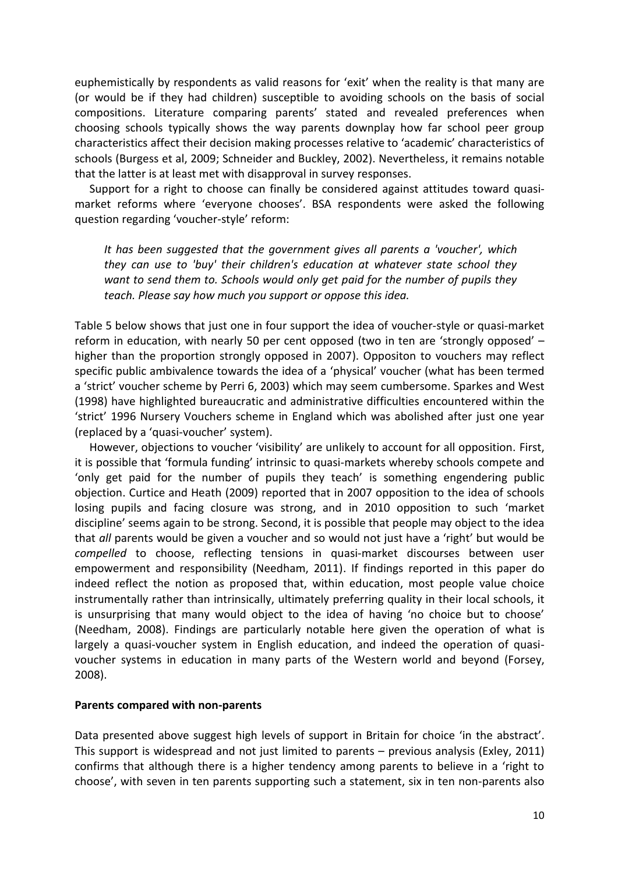euphemistically by respondents as valid reasons for 'exit' when the reality is that many are (or would be if they had children) susceptible to avoiding schools on the basis of social compositions. Literature comparing parents' stated and revealed preferences when choosing schools typically shows the way parents downplay how far school peer group characteristics affect their decision making processes relative to 'academic' characteristics of schools (Burgess et al, 2009; Schneider and Buckley, 2002). Nevertheless, it remains notable that the latter is at least met with disapproval in survey responses.

Support for a right to choose can finally be considered against attitudes toward quasimarket reforms where 'everyone chooses'. BSA respondents were asked the following question regarding 'voucher-style' reform:

*It has been suggested that the government gives all parents a 'voucher', which they can use to 'buy' their children's education at whatever state school they want to send them to. Schools would only get paid for the number of pupils they teach. Please say how much you support or oppose this idea.*

Table 5 below shows that just one in four support the idea of voucher-style or quasi-market reform in education, with nearly 50 per cent opposed (two in ten are 'strongly opposed' – higher than the proportion strongly opposed in 2007). Oppositon to vouchers may reflect specific public ambivalence towards the idea of a 'physical' voucher (what has been termed a 'strict' voucher scheme by Perri 6, 2003) which may seem cumbersome. Sparkes and West (1998) have highlighted bureaucratic and administrative difficulties encountered within the 'strict' 1996 Nursery Vouchers scheme in England which was abolished after just one year (replaced by a 'quasi-voucher' system).

However, objections to voucher 'visibility' are unlikely to account for all opposition. First, it is possible that 'formula funding' intrinsic to quasi-markets whereby schools compete and 'only get paid for the number of pupils they teach' is something engendering public objection. Curtice and Heath (2009) reported that in 2007 opposition to the idea of schools losing pupils and facing closure was strong, and in 2010 opposition to such 'market discipline' seems again to be strong. Second, it is possible that people may object to the idea that *all* parents would be given a voucher and so would not just have a 'right' but would be *compelled* to choose, reflecting tensions in quasi-market discourses between user empowerment and responsibility (Needham, 2011). If findings reported in this paper do indeed reflect the notion as proposed that, within education, most people value choice instrumentally rather than intrinsically, ultimately preferring quality in their local schools, it is unsurprising that many would object to the idea of having 'no choice but to choose' (Needham, 2008). Findings are particularly notable here given the operation of what is largely a quasi-voucher system in English education, and indeed the operation of quasivoucher systems in education in many parts of the Western world and beyond (Forsey, 2008).

#### **Parents compared with non-parents**

Data presented above suggest high levels of support in Britain for choice 'in the abstract'. This support is widespread and not just limited to parents – previous analysis (Exley, 2011) confirms that although there is a higher tendency among parents to believe in a 'right to choose', with seven in ten parents supporting such a statement, six in ten non-parents also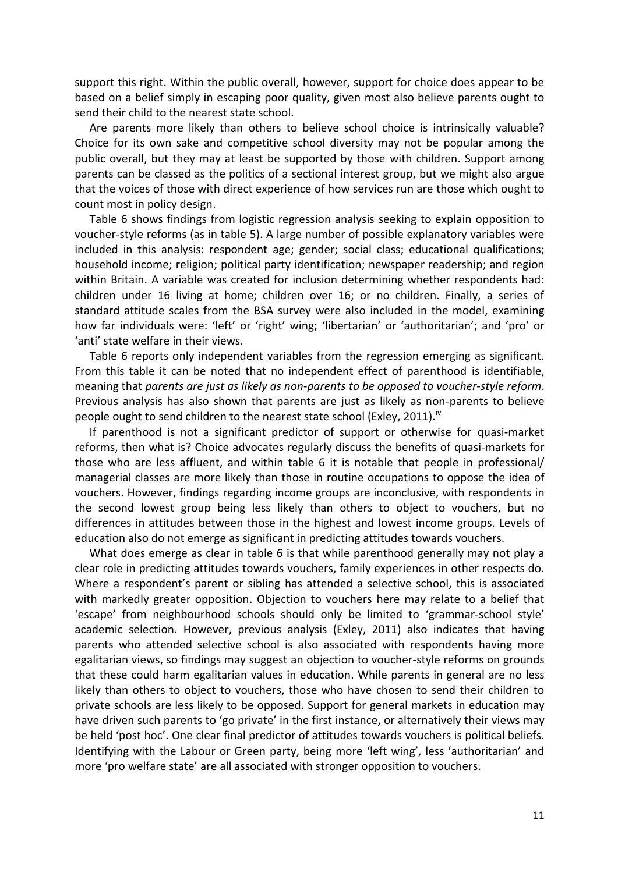support this right. Within the public overall, however, support for choice does appear to be based on a belief simply in escaping poor quality, given most also believe parents ought to send their child to the nearest state school.

Are parents more likely than others to believe school choice is intrinsically valuable? Choice for its own sake and competitive school diversity may not be popular among the public overall, but they may at least be supported by those with children. Support among parents can be classed as the politics of a sectional interest group, but we might also argue that the voices of those with direct experience of how services run are those which ought to count most in policy design.

Table 6 shows findings from logistic regression analysis seeking to explain opposition to voucher-style reforms (as in table 5). A large number of possible explanatory variables were included in this analysis: respondent age; gender; social class; educational qualifications; household income; religion; political party identification; newspaper readership; and region within Britain. A variable was created for inclusion determining whether respondents had: children under 16 living at home; children over 16; or no children. Finally, a series of standard attitude scales from the BSA survey were also included in the model, examining how far individuals were: 'left' or 'right' wing; 'libertarian' or 'authoritarian'; and 'pro' or 'anti' state welfare in their views.

Table 6 reports only independent variables from the regression emerging as significant. From this table it can be noted that no independent effect of parenthood is identifiable, meaning that *parents are just as likely as non-parents to be opposed to voucher-style reform*. Previous analysis has also shown that parents are just as likely as non-parents to believe people ought to send children to the nearest state school (Exley, 2011).<sup>1</sup>

If parenthood is not a significant predictor of support or otherwise for quasi-market reforms, then what is? Choice advocates regularly discuss the benefits of quasi-markets for those who are less affluent, and within table 6 it is notable that people in professional/ managerial classes are more likely than those in routine occupations to oppose the idea of vouchers. However, findings regarding income groups are inconclusive, with respondents in the second lowest group being less likely than others to object to vouchers, but no differences in attitudes between those in the highest and lowest income groups. Levels of education also do not emerge as significant in predicting attitudes towards vouchers.

What does emerge as clear in table 6 is that while parenthood generally may not play a clear role in predicting attitudes towards vouchers, family experiences in other respects do. Where a respondent's parent or sibling has attended a selective school, this is associated with markedly greater opposition. Objection to vouchers here may relate to a belief that 'escape' from neighbourhood schools should only be limited to 'grammar-school style' academic selection. However, previous analysis (Exley, 2011) also indicates that having parents who attended selective school is also associated with respondents having more egalitarian views, so findings may suggest an objection to voucher-style reforms on grounds that these could harm egalitarian values in education. While parents in general are no less likely than others to object to vouchers, those who have chosen to send their children to private schools are less likely to be opposed. Support for general markets in education may have driven such parents to 'go private' in the first instance, or alternatively their views may be held 'post hoc'. One clear final predictor of attitudes towards vouchers is political beliefs*.* Identifying with the Labour or Green party, being more 'left wing', less 'authoritarian' and more 'pro welfare state' are all associated with stronger opposition to vouchers.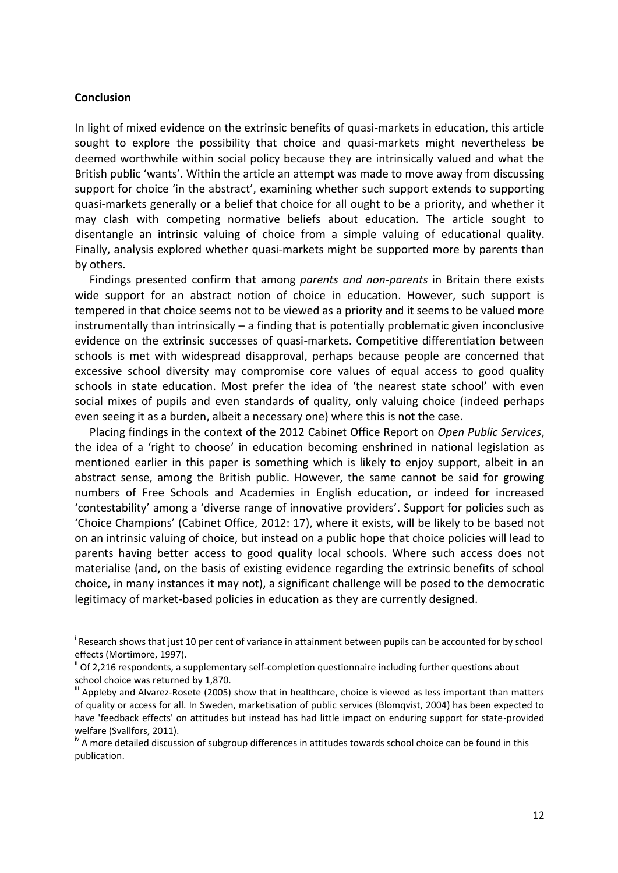#### **Conclusion**

1

In light of mixed evidence on the extrinsic benefits of quasi-markets in education, this article sought to explore the possibility that choice and quasi-markets might nevertheless be deemed worthwhile within social policy because they are intrinsically valued and what the British public 'wants'. Within the article an attempt was made to move away from discussing support for choice 'in the abstract', examining whether such support extends to supporting quasi-markets generally or a belief that choice for all ought to be a priority, and whether it may clash with competing normative beliefs about education. The article sought to disentangle an intrinsic valuing of choice from a simple valuing of educational quality. Finally, analysis explored whether quasi-markets might be supported more by parents than by others.

Findings presented confirm that among *parents and non-parents* in Britain there exists wide support for an abstract notion of choice in education. However, such support is tempered in that choice seems not to be viewed as a priority and it seems to be valued more instrumentally than intrinsically – a finding that is potentially problematic given inconclusive evidence on the extrinsic successes of quasi-markets. Competitive differentiation between schools is met with widespread disapproval, perhaps because people are concerned that excessive school diversity may compromise core values of equal access to good quality schools in state education. Most prefer the idea of 'the nearest state school' with even social mixes of pupils and even standards of quality, only valuing choice (indeed perhaps even seeing it as a burden, albeit a necessary one) where this is not the case.

Placing findings in the context of the 2012 Cabinet Office Report on *Open Public Services*, the idea of a 'right to choose' in education becoming enshrined in national legislation as mentioned earlier in this paper is something which is likely to enjoy support, albeit in an abstract sense, among the British public. However, the same cannot be said for growing numbers of Free Schools and Academies in English education, or indeed for increased 'contestability' among a 'diverse range of innovative providers'. Support for policies such as 'Choice Champions' (Cabinet Office, 2012: 17), where it exists, will be likely to be based not on an intrinsic valuing of choice, but instead on a public hope that choice policies will lead to parents having better access to good quality local schools. Where such access does not materialise (and, on the basis of existing evidence regarding the extrinsic benefits of school choice, in many instances it may not), a significant challenge will be posed to the democratic legitimacy of market-based policies in education as they are currently designed.

<sup>&</sup>lt;sup>i</sup> Research shows that just 10 per cent of variance in attainment between pupils can be accounted for by school effects (Mortimore, 1997).

<sup>&</sup>lt;sup>ii</sup> Of 2,216 respondents, a supplementary self-completion questionnaire including further questions about school choice was returned by 1,870.

 $\text{``Appleby and Alvarez-Rosete (2005) show that in healthcare, choice is viewed as less important than matters}$ of quality or access for all. In Sweden, marketisation of public services (Blomqvist, 2004) has been expected to have 'feedback effects' on attitudes but instead has had little impact on enduring support for state-provided welfare (Svallfors, 2011).

<sup>&</sup>lt;sup>iv</sup> A more detailed discussion of subgroup differences in attitudes towards school choice can be found in this publication.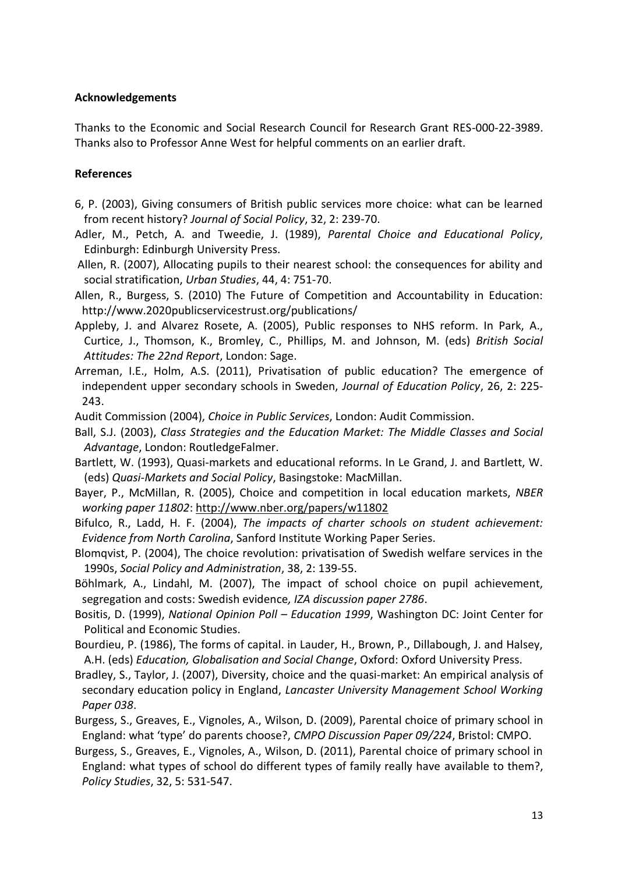#### **Acknowledgements**

Thanks to the Economic and Social Research Council for Research Grant RES-000-22-3989. Thanks also to Professor Anne West for helpful comments on an earlier draft.

#### **References**

- 6, P. (2003), Giving consumers of British public services more choice: what can be learned from recent history? *Journal of Social Policy*, 32, 2: 239-70.
- Adler, M., Petch, A. and Tweedie, J. (1989), *Parental Choice and Educational Policy*, Edinburgh: Edinburgh University Press.
- Allen, R. (2007), Allocating pupils to their nearest school: the consequences for ability and social stratification, *Urban Studies*, 44, 4: 751-70.
- Allen, R., Burgess, S. (2010) The Future of Competition and Accountability in Education: <http://www.2020publicservicestrust.org/publications/>
- Appleby, J. and Alvarez Rosete, A. (2005), Public responses to NHS reform. In Park, A., Curtice, J., Thomson, K., Bromley, C., Phillips, M. and Johnson, M. (eds) *British Social Attitudes: The 22nd Report*, London: Sage.
- Arreman, I.E., Holm, A.S. (2011), Privatisation of public education? The emergence of independent upper secondary schools in Sweden, *Journal of Education Policy*, 26, 2: 225- 243.
- Audit Commission (2004), *Choice in Public Services*, London: Audit Commission.
- Ball, S.J. (2003), *Class Strategies and the Education Market: The Middle Classes and Social Advantage*, London: RoutledgeFalmer.
- Bartlett, W. (1993), Quasi-markets and educational reforms. In Le Grand, J. and Bartlett, W. (eds) *Quasi-Markets and Social Policy*, Basingstoke: MacMillan.
- Bayer, P., McMillan, R. (2005), Choice and competition in local education markets, *NBER working paper 11802*[: http://www.nber.org/papers/w11802](http://www.nber.org/papers/w11802)
- Bifulco, R., Ladd, H. F. (2004), *The impacts of charter schools on student achievement: Evidence from North Carolina*, Sanford Institute Working Paper Series.
- Blomqvist, P. (2004), The choice revolution: privatisation of Swedish welfare services in the 1990s, *Social Policy and Administration*, 38, 2: 139-55.
- Böhlmark, A., Lindahl, M. (2007), The impact of school choice on pupil achievement, segregation and costs: Swedish evidence*, IZA discussion paper 2786*.
- Bositis, D. (1999), *National Opinion Poll – Education 1999*, Washington DC: Joint Center for Political and Economic Studies.
- Bourdieu, P. (1986), The forms of capital. in Lauder, H., Brown, P., Dillabough, J. and Halsey, A.H. (eds) *Education, Globalisation and Social Change*, Oxford: Oxford University Press.
- Bradley, S., Taylor, J. (2007), Diversity, choice and the quasi-market: An empirical analysis of secondary education policy in England, *Lancaster University Management School Working Paper 038*.
- Burgess, S., Greaves, E., Vignoles, A., Wilson, D. (2009), Parental choice of primary school in England: what 'type' do parents choose?, *CMPO Discussion Paper 09/224*, Bristol: CMPO.
- Burgess, S., Greaves, E., Vignoles, A., Wilson, D. (2011), Parental choice of primary school in England: what types of school do different types of family really have available to them?, *Policy Studies*, 32, 5: 531-547.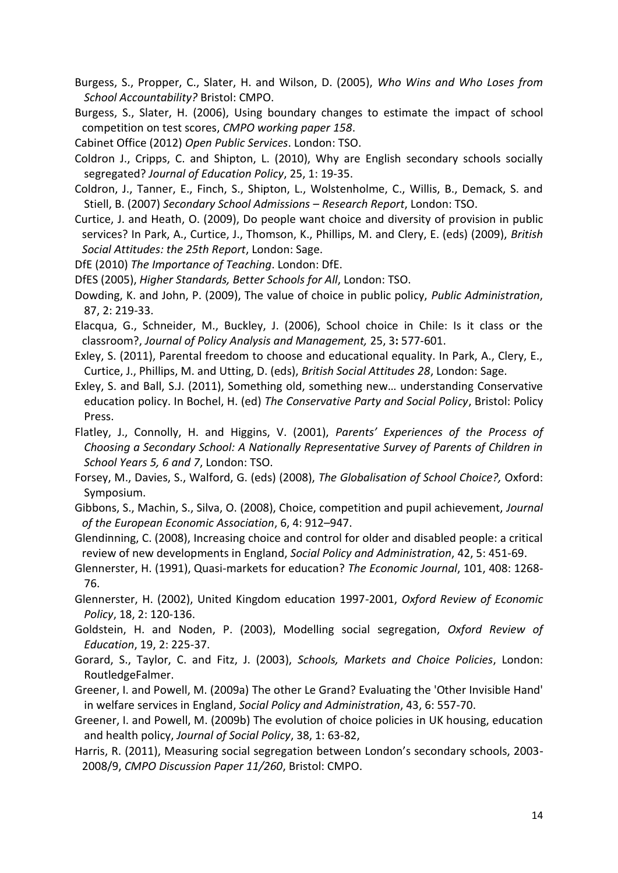Burgess, S., Propper, C., Slater, H. and Wilson, D. (2005), *Who Wins and Who Loses from School Accountability?* Bristol: CMPO.

Burgess, S., Slater, H. (2006), Using boundary changes to estimate the impact of school competition on test scores, *CMPO working paper 158*.

Cabinet Office (2012) *Open Public Services*. London: TSO.

Coldron J., Cripps, C. and Shipton, L. (2010), Why are English secondary schools socially segregated? *Journal of Education Policy*, 25, 1: 19-35.

Coldron, J., Tanner, E., Finch, S., Shipton, L., Wolstenholme, C., Willis, B., Demack, S. and Stiell, B. (2007) *Secondary School Admissions – Research Report*, London: TSO.

Curtice, J. and Heath, O. (2009), Do people want choice and diversity of provision in public services? In Park, A., Curtice, J., Thomson, K., Phillips, M. and Clery, E. (eds) (2009), *British Social Attitudes: the 25th Report*, London: Sage.

DfE (2010) *The Importance of Teaching*. London: DfE.

DfES (2005), *Higher Standards, Better Schools for All*, London: TSO.

Dowding, K. and John, P. (2009), The value of choice in public policy, *Public Administration*, 87, 2: 219-33.

- Elacqua, G., Schneider, M., Buckley, J. (2006), School choice in Chile: Is it class or the classroom?, *Journal of Policy Analysis and Management,* 25, 3**:** 577-601.
- Exley, S. (2011), Parental freedom to choose and educational equality. In Park, A., Clery, E., Curtice, J., Phillips, M. and Utting, D. (eds), *British Social Attitudes 28*, London: Sage.
- Exley, S. and Ball, S.J. (2011), Something old, something new… understanding Conservative education policy. In Bochel, H. (ed) *The Conservative Party and Social Policy*, Bristol: Policy Press.

Flatley, J., Connolly, H. and Higgins, V. (2001), *Parents' Experiences of the Process of Choosing a Secondary School: A Nationally Representative Survey of Parents of Children in School Years 5, 6 and 7*, London: TSO.

Forsey, M., Davies, S., Walford, G. (eds) (2008), *The Globalisation of School Choice?,* Oxford: Symposium.

Gibbons, S., Machin, S., Silva, O. (2008), Choice, competition and pupil achievement, *Journal of the European Economic Association*, 6, 4: 912–947.

Glendinning, C. (2008), Increasing choice and control for older and disabled people: a critical review of new developments in England, *Social Policy and Administration*, 42, 5: 451-69.

Glennerster, H. (1991), Quasi-markets for education? *The Economic Journal*, 101, 408: 1268- 76.

Glennerster, H. (2002), United Kingdom education 1997-2001, *Oxford Review of Economic Policy*, 18, 2: 120-136.

Goldstein, H. and Noden, P. (2003), Modelling social segregation, *Oxford Review of Education*, 19, 2: 225-37.

Gorard, S., Taylor, C. and Fitz, J. (2003), *Schools, Markets and Choice Policies*, London: RoutledgeFalmer.

Greener, I. and Powell, M. (2009a) [The other Le Grand? Evaluating the 'Other Invisible Hand'](http://www.dur.ac.uk/sass/staff/profile/?mode=pdetail&id=5581&sid=5581&pdetail=59607)  [in welfare services in England,](http://www.dur.ac.uk/sass/staff/profile/?mode=pdetail&id=5581&sid=5581&pdetail=59607) *Social Policy and Administration*, 43, 6: 557-70.

Greener, I. and Powell, M. (2009b) [The evolution of choice policies in UK housing, education](http://www.dur.ac.uk/sass/staff/profile/?mode=pdetail&id=5581&sid=5581&pdetail=56433)  [and health policy,](http://www.dur.ac.uk/sass/staff/profile/?mode=pdetail&id=5581&sid=5581&pdetail=56433) *Journal of Social Policy*, 38, 1: 63-82,

Harris, R. (2011), Measuring social segregation between London's secondary schools, 2003- 2008/9, *CMPO Discussion Paper 11/260*, Bristol: CMPO.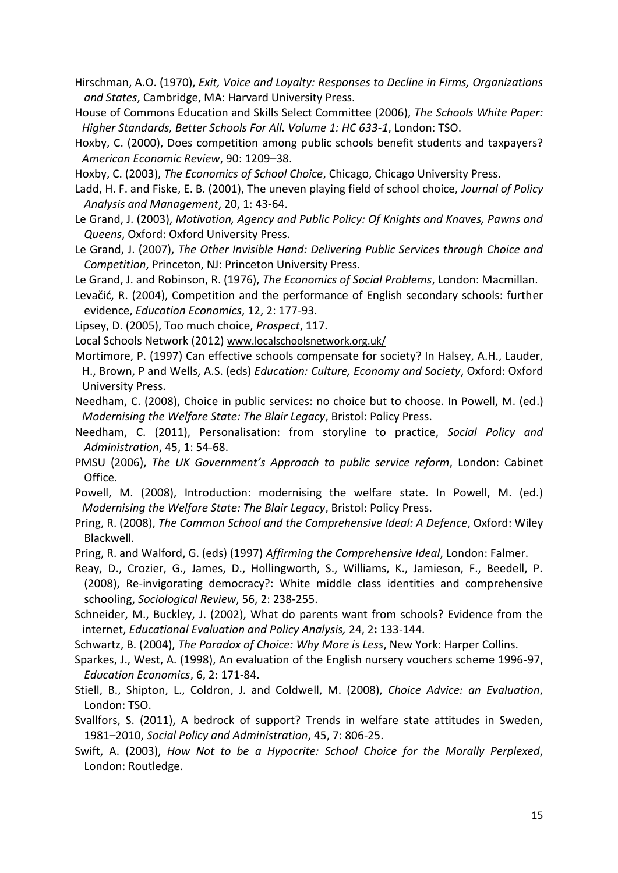Hirschman, A.O. (1970), *Exit, Voice and Loyalty: Responses to Decline in Firms, Organizations and States*, Cambridge, MA: Harvard University Press.

House of Commons Education and Skills Select Committee (2006), *The Schools White Paper: Higher Standards, Better Schools For All. Volume 1: HC 633-1*, London: TSO.

Hoxby, C. (2000), Does competition among public schools benefit students and taxpayers? *American Economic Review*, 90: 1209–38.

Hoxby, C. (2003), *The Economics of School Choice*, Chicago, Chicago University Press.

- Ladd, H. F. and Fiske, E. B. (2001), The uneven playing field of school choice, *Journal of Policy Analysis and Management*, 20, 1: 43-64.
- Le Grand, J. (2003), *Motivation, Agency and Public Policy: Of Knights and Knaves, Pawns and Queens*, Oxford: Oxford University Press.
- Le Grand, J. (2007), *The Other Invisible Hand: Delivering Public Services through Choice and Competition*, Princeton, NJ: Princeton University Press.

Le Grand, J. and Robinson, R. (1976), *The Economics of Social Problems*, London: Macmillan.

Levačić, R. (2004), Competition and the performance of English secondary schools: further evidence, *Education Economics*, 12, 2: 177-93.

Lipsey, D. (2005), Too much choice, *Prospect*, 117.

- Local Schools Network (2012) [www.localschoolsnetwork.org.uk/](http://www.localschoolsnetwork.org.uk/)
- Mortimore, P. (1997) Can effective schools compensate for society? In Halsey, A.H., Lauder, H., Brown, P and Wells, A.S. (eds) *Education: Culture, Economy and Society*, Oxford: Oxford University Press.
- Needham, C. (2008), Choice in public services: no choice but to choose. In Powell, M. (ed.) *Modernising the Welfare State: The Blair Legacy*, Bristol: Policy Press.
- Needham, C. (2011), Personalisation: from storyline to practice, *Social Policy and Administration*, 45, 1: 54-68.
- PMSU (2006), *The UK Government's Approach to public service reform*, London: Cabinet Office.
- Powell, M. (2008), Introduction: modernising the welfare state. In Powell, M. (ed.) *Modernising the Welfare State: The Blair Legacy*, Bristol: Policy Press.
- Pring, R. (2008), *The Common School and the Comprehensive Ideal: A Defence*, Oxford: Wiley Blackwell.
- Pring, R. and Walford, G. (eds) (1997) *Affirming the Comprehensive Ideal*, London: Falmer.
- Reay, D., Crozier, G., James, D., Hollingworth, S., Williams, K., Jamieson, F., Beedell, P. (2008), Re-invigorating democracy?: White middle class identities and comprehensive schooling, *Sociological Review*, 56, 2: 238-255.
- Schneider, M., Buckley, J. (2002), What do parents want from schools? Evidence from the internet, *Educational Evaluation and Policy Analysis,* 24, 2**:** 133-144.
- Schwartz, B. (2004), *The Paradox of Choice: Why More is Less*, New York: Harper Collins.
- Sparkes, J., West, A. (1998), An evaluation of the English nursery vouchers scheme 1996-97, *Education Economics*, 6, 2: 171-84.
- Stiell, B., Shipton, L., Coldron, J. and Coldwell, M. (2008), *Choice Advice: an Evaluation*, London: TSO.
- Svallfors, S. (2011), A bedrock of support? Trends in welfare state attitudes in Sweden, 1981–2010, *Social Policy and Administration*, 45, 7: 806-25.
- Swift, A. (2003), *How Not to be a Hypocrite: School Choice for the Morally Perplexed*, London: Routledge.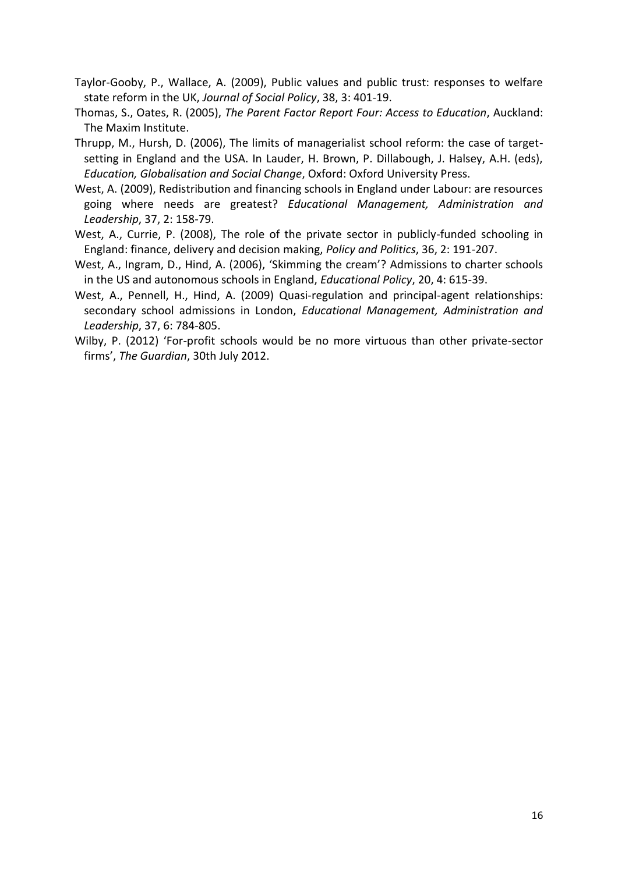Taylor-Gooby, P., Wallace, A. (2009), Public values and public trust: responses to welfare state reform in the UK, *Journal of Social Policy*, 38, 3: 401-19.

- Thomas, S., Oates, R. (2005), *The Parent Factor Report Four: Access to Education*, Auckland: The Maxim Institute.
- Thrupp, M., Hursh, D. (2006), The limits of managerialist school reform: the case of targetsetting in England and the USA. In Lauder, H. Brown, P. Dillabough, J. Halsey, A.H. (eds), *Education, Globalisation and Social Change*, Oxford: Oxford University Press.
- West, A. (2009), Redistribution and financing schools in England under Labour: are resources going where needs are greatest? *Educational Management, Administration and Leadership*, 37, 2: 158-79.
- West, A., Currie, P. (2008), The role of the private sector in publicly-funded schooling in England: finance, delivery and decision making, *Policy and Politics*, 36, 2: 191-207.
- West, A., Ingram, D., Hind, A. (2006), 'Skimming the cream'? Admissions to charter schools in the US and autonomous schools in England, *Educational Policy*, 20, 4: 615-39.
- West, A., Pennell, H., Hind, A. (2009) Quasi-regulation and principal-agent relationships: secondary school admissions in London, *Educational Management, Administration and Leadership*, 37, 6: 784-805.
- Wilby, P. (2012) 'For-profit schools would be no more virtuous than other private-sector firms', *The Guardian*, 30th July 2012.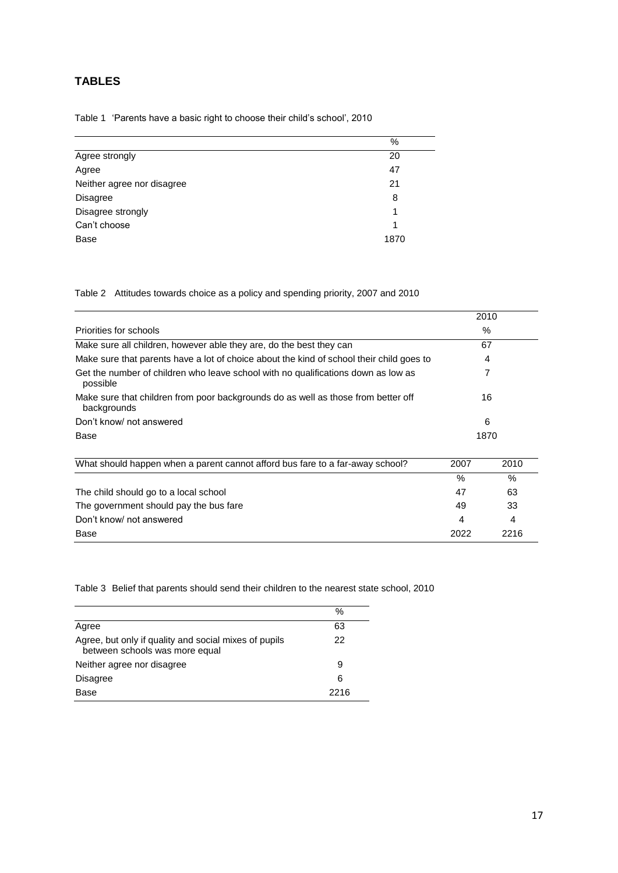#### **TABLES**

Table 1 'Parents have a basic right to choose their child's school', 2010

|                            | %    |
|----------------------------|------|
| Agree strongly             | 20   |
| Agree                      | 47   |
| Neither agree nor disagree | 21   |
| Disagree                   | 8    |
| Disagree strongly          | 1    |
| Can't choose               | 1    |
| Base                       | 1870 |

Table 2 Attitudes towards choice as a policy and spending priority, 2007 and 2010

|                                                                                                  |      | 2010 |
|--------------------------------------------------------------------------------------------------|------|------|
| Priorities for schools                                                                           |      | $\%$ |
| Make sure all children, however able they are, do the best they can                              |      | 67   |
| Make sure that parents have a lot of choice about the kind of school their child goes to         |      | 4    |
| Get the number of children who leave school with no qualifications down as low as<br>possible    |      | 7    |
| Make sure that children from poor backgrounds do as well as those from better off<br>backgrounds | 16   |      |
| Don't know/ not answered                                                                         |      | 6    |
| Base                                                                                             | 1870 |      |
| What should happen when a parent cannot afford bus fare to a far-away school?                    | 2007 | 2010 |
|                                                                                                  | $\%$ | $\%$ |
| The child should go to a local school                                                            | 47   | 63   |
| The government should pay the bus fare                                                           | 49   | 33   |
| Don't know/ not answered                                                                         | 4    | 4    |
| Base                                                                                             | 2022 | 2216 |

Table 3 Belief that parents should send their children to the nearest state school, 2010

|                                                                                         | %    |
|-----------------------------------------------------------------------------------------|------|
| Agree                                                                                   | 63   |
| Agree, but only if quality and social mixes of pupils<br>between schools was more equal | 22   |
| Neither agree nor disagree                                                              | 9    |
| <b>Disagree</b>                                                                         | 6    |
| Base                                                                                    | 2216 |